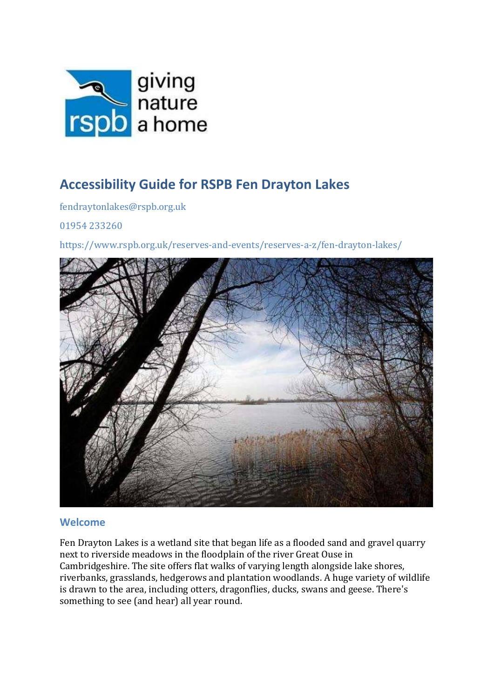

# Accessibility Guide for RSPB Fen Drayton Lakes

fendraytonlakes@rspb.org.uk

01954 233260

https://www.rspb.org.uk/reserves-and-events/reserves-a-z/fen-drayton-lakes/



### Welcome

Fen Drayton Lakes is a wetland site that began life as a flooded sand and gravel quarry next to riverside meadows in the floodplain of the river Great Ouse in Cambridgeshire. The site offers flat walks of varying length alongside lake shores, riverbanks, grasslands, hedgerows and plantation woodlands. A huge variety of wildlife is drawn to the area, including otters, dragonflies, ducks, swans and geese. There's something to see (and hear) all year round.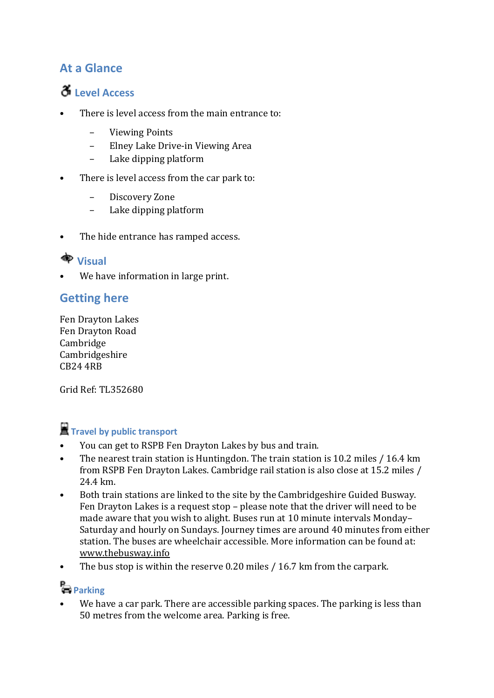## At a Glance

# $\delta$  Level Access

- There is level access from the main entrance to:
	- Viewing Points
	- Elney Lake Drive-in Viewing Area
	- Lake dipping platform
- There is level access from the car park to:
	- Discovery Zone
	- Lake dipping platform
- The hide entrance has ramped access.

## **h** Visual

We have information in large print.

## Getting here

Fen Drayton Lakes Fen Drayton Road Cambridge Cambridgeshire CB24 4RB

Grid Ref: TL352680

# **T** Travel by public transport

- You can get to RSPB Fen Drayton Lakes by bus and train.
- The nearest train station is Huntingdon. The train station is 10.2 miles / 16.4 km from RSPB Fen Drayton Lakes. Cambridge rail station is also close at 15.2 miles / 24.4 km.
- Both train stations are linked to the site by the Cambridgeshire Guided Busway. Fen Drayton Lakes is a request stop – please note that the driver will need to be made aware that you wish to alight. Buses run at 10 minute intervals Monday– Saturday and hourly on Sundays. Journey times are around 40 minutes from either station. The buses are wheelchair accessible. More information can be found at: www.thebusway.info
- The bus stop is within the reserve 0.20 miles / 16.7 km from the carpark.

# **Parking**

We have a car park. There are accessible parking spaces. The parking is less than 50 metres from the welcome area. Parking is free.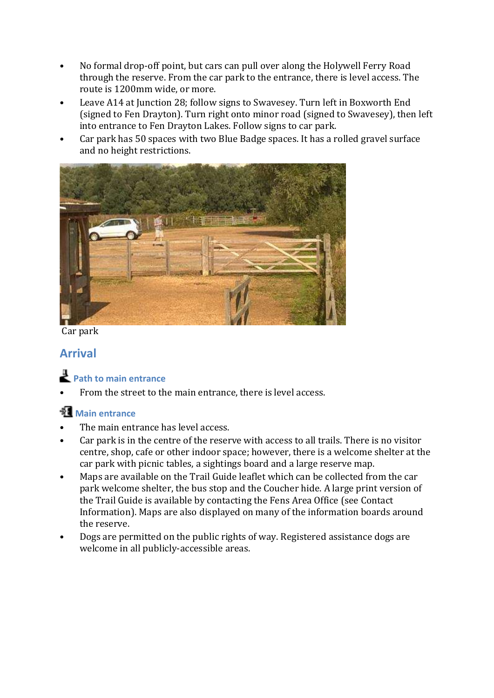- No formal drop-off point, but cars can pull over along the Holywell Ferry Road through the reserve. From the car park to the entrance, there is level access. The route is 1200mm wide, or more.
- Leave A14 at Junction 28; follow signs to Swavesey. Turn left in Boxworth End (signed to Fen Drayton). Turn right onto minor road (signed to Swavesey), then left into entrance to Fen Drayton Lakes. Follow signs to car park.
- Car park has 50 spaces with two Blue Badge spaces. It has a rolled gravel surface and no height restrictions.



Car park

## Arrival

## Path to main entrance

From the street to the main entrance, there is level access.

## **Main entrance**

- The main entrance has level access.
- Car park is in the centre of the reserve with access to all trails. There is no visitor centre, shop, cafe or other indoor space; however, there is a welcome shelter at the car park with picnic tables, a sightings board and a large reserve map.
- Maps are available on the Trail Guide leaflet which can be collected from the car park welcome shelter, the bus stop and the Coucher hide. A large print version of the Trail Guide is available by contacting the Fens Area Office (see Contact Information). Maps are also displayed on many of the information boards around the reserve.
- Dogs are permitted on the public rights of way. Registered assistance dogs are welcome in all publicly-accessible areas.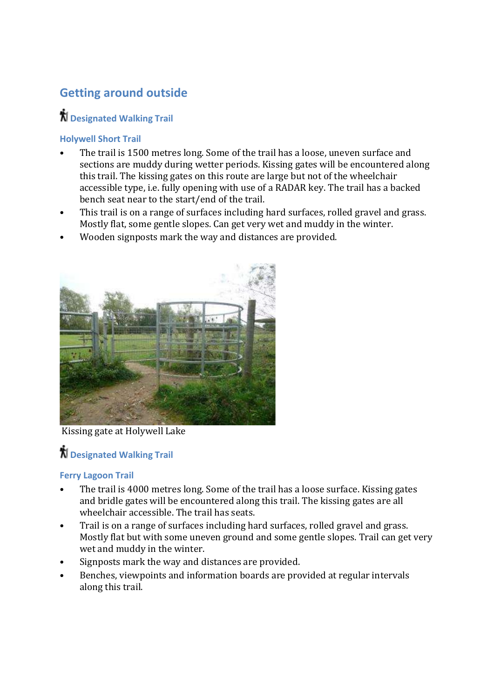# Getting around outside

# $\boldsymbol{\hbar}$  Designated Walking Trail

### Holywell Short Trail

- The trail is 1500 metres long. Some of the trail has a loose, uneven surface and sections are muddy during wetter periods. Kissing gates will be encountered along this trail. The kissing gates on this route are large but not of the wheelchair accessible type, i.e. fully opening with use of a RADAR key. The trail has a backed bench seat near to the start/end of the trail.
- This trail is on a range of surfaces including hard surfaces, rolled gravel and grass. Mostly flat, some gentle slopes. Can get very wet and muddy in the winter.
- Wooden signposts mark the way and distances are provided.



Kissing gate at Holywell Lake

# $\boldsymbol{\hbar}$  Designated Walking Trail

### Ferry Lagoon Trail

- The trail is 4000 metres long. Some of the trail has a loose surface. Kissing gates and bridle gates will be encountered along this trail. The kissing gates are all wheelchair accessible. The trail has seats.
- Trail is on a range of surfaces including hard surfaces, rolled gravel and grass. Mostly flat but with some uneven ground and some gentle slopes. Trail can get very wet and muddy in the winter.
- Signposts mark the way and distances are provided.
- Benches, viewpoints and information boards are provided at regular intervals along this trail.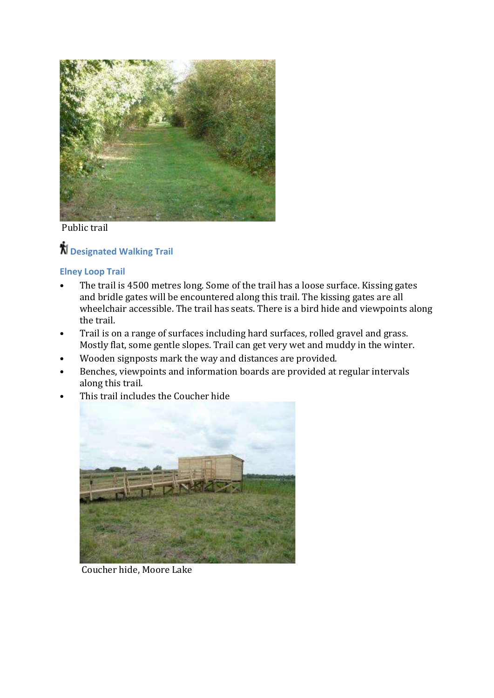

Public trail

# **N** Designated Walking Trail

### Elney Loop Trail

- The trail is 4500 metres long. Some of the trail has a loose surface. Kissing gates and bridle gates will be encountered along this trail. The kissing gates are all wheelchair accessible. The trail has seats. There is a bird hide and viewpoints along the trail.
- Trail is on a range of surfaces including hard surfaces, rolled gravel and grass. Mostly flat, some gentle slopes. Trail can get very wet and muddy in the winter.
- Wooden signposts mark the way and distances are provided.
- Benches, viewpoints and information boards are provided at regular intervals along this trail.

 $\mathbf{r}$ 

This trail includes the Coucher hide



Coucher hide, Moore Lake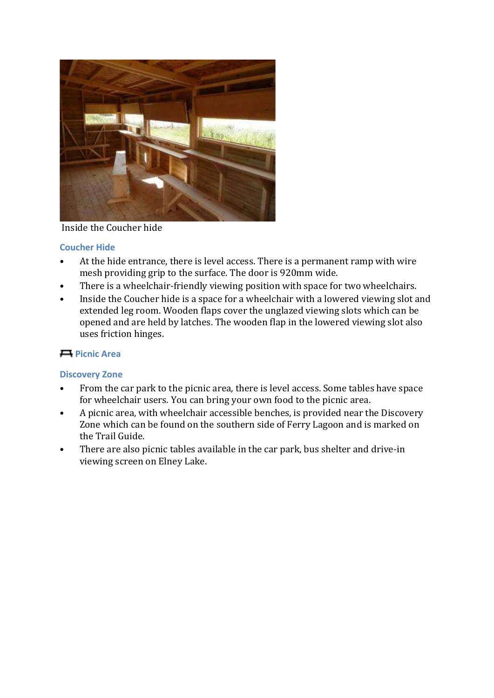

### Inside the Coucher hide

#### Coucher Hide

- At the hide entrance, there is level access. There is a permanent ramp with wire mesh providing grip to the surface. The door is 920mm wide.
- There is a wheelchair-friendly viewing position with space for two wheelchairs.
- Inside the Coucher hide is a space for a wheelchair with a lowered viewing slot and extended leg room. Wooden flaps cover the unglazed viewing slots which can be opened and are held by latches. The wooden flap in the lowered viewing slot also uses friction hinges.

### Picnic Area

### Discovery Zone

- From the car park to the picnic area, there is level access. Some tables have space for wheelchair users. You can bring your own food to the picnic area.
- A picnic area, with wheelchair accessible benches, is provided near the Discovery Zone which can be found on the southern side of Ferry Lagoon and is marked on the Trail Guide.
- There are also picnic tables available in the car park, bus shelter and drive-in viewing screen on Elney Lake.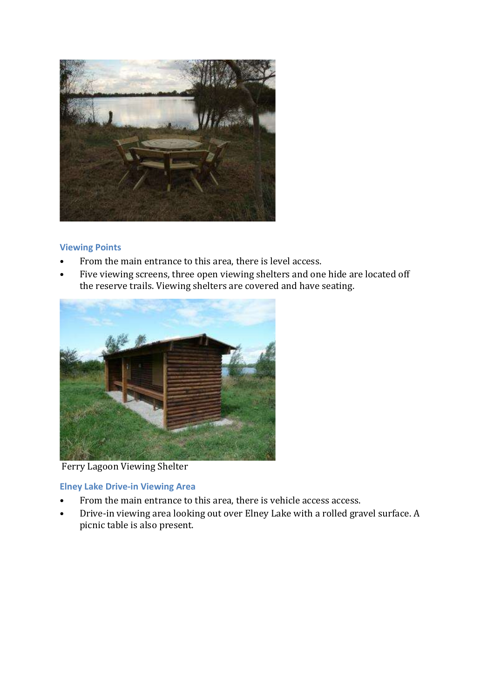

#### Viewing Points

- From the main entrance to this area, there is level access.
- Five viewing screens, three open viewing shelters and one hide are located off the reserve trails. Viewing shelters are covered and have seating.



Ferry Lagoon Viewing Shelter

### Elney Lake Drive-in Viewing Area

- From the main entrance to this area, there is vehicle access access.
- Drive-in viewing area looking out over Elney Lake with a rolled gravel surface. A picnic table is also present.